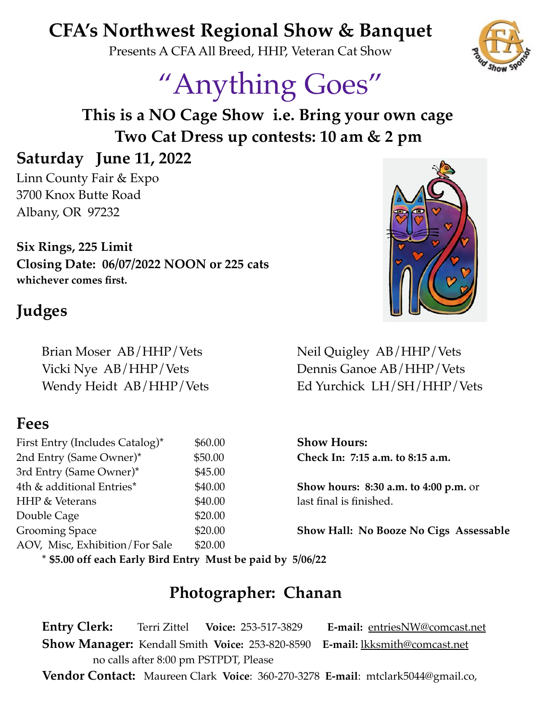# **CFA's Northwest Regional Show & Banquet**

Presents A CFA All Breed, HHP, Veteran Cat Show

# "Anything Goes"

**This is a NO Cage Show i.e. Bring your own cage Two Cat Dress up contests: 10 am & 2 pm**

## **Saturday June 11, 2022**

Linn County Fair & Expo 3700 Knox Butte Road Albany, OR 97232

**Six Rings, 225 Limit Closing Date: 06/07/2022 NOON or 225 cats whichever comes first.**

# **Judges**

Brian Moser AB/HHP/Vets Neil Quigley AB/HHP/Vets

### **Fees**

First Entry (Includes Catalog)<sup>\*</sup> \$60.00 **Show Hours:** 2nd Entry (Same Owner)\* \$50.00 **Check In: 7:15 a.m. to 8:15 a.m.** 3rd Entry (Same Owner)\* \$45.00 4th & additional Entries\* \$40.00 **Show hours: 8:30 a.m. to 4:00 p.m.** or HHP & Veterans  $$40.00$  last final is finished. Double Cage \$20.00 AOV, Misc, Exhibition/For Sale \$20.00

Vicki Nye AB/HHP/Vets Dennis Ganoe AB/HHP/Vets Wendy Heidt AB/HHP/Vets Ed Yurchick LH/SH/HHP/Vets

Grooming Space  $$20.00$  **Show Hall: No Booze No Cigs Assessable** 

**\* \$5.00 off each Early Bird Entry Must be paid by 5/06/22**

#### **Photographer: Chanan**

**Entry Clerk:** Terri Zittel **Voice:** 253-517-3829 **E-mail:** [entriesNW@comcast.net](mailto:entriesNW@comcast.net) **Show Manager:** Kendall Smith **Voice:** 253-820-8590 **E-mail:** [lkksmith@comcast.net](mailto:lkksmith@comcast.net) no calls after 8:00 pm PSTPDT, Please

**Vendor Contact:** Maureen Clark **Voice**: 360-270-3278 **E-mail**: mtclark5044@gmail.co,